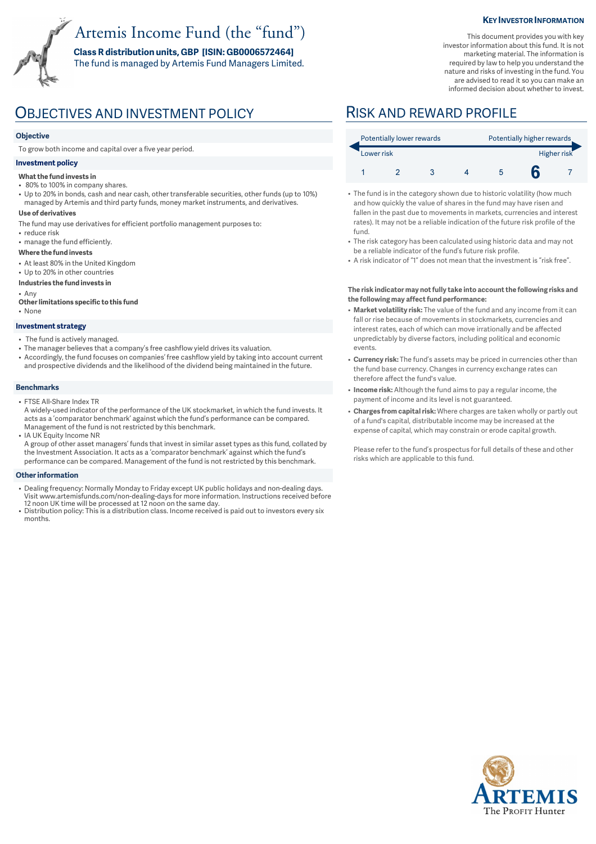# Artemis Income Fund (the "fund")

**Class R distribution units, GBP [ISIN: GB0006572464]**  The fund is managed by Artemis Fund Managers Limited.

#### **KEY INVESTOR INFORMATION**

This document provides you with key investor information about this fund. It is not marketing material. The information is required by law to help you understand the nature and risks of investing in the fund. You are advised to read it so you can make an informed decision about whether to invest.

## OBJECTIVES AND INVESTMENT POLICY RISK AND REWARD PROFILE

### **Objective**

To grow both income and capital over a five year period.

### **Investment policy**

#### **What the fund invests in**

- 80% to 100% in company shares.
- Up to 20% in bonds, cash and near cash, other transferable securities, other funds (up to 10%) managed by Artemis and third party funds, money market instruments, and derivatives.

#### **Use of derivatives**

- The fund may use derivatives for efficient portfolio management purposes to:
- reduce risk
- manage the fund efficiently.

#### **Where the fund invests**

- At least 80% in the United Kingdom
- Up to 20% in other countries
- **Industries the fund invests in**

• Any

**Other limitations specific to this fund** • None

#### **Investment strategy**

- The fund is actively managed.
- The manager believes that a company's free cashflow yield drives its valuation.
- Accordingly, the fund focuses on companies' free cashflow yield by taking into account current and prospective dividends and the likelihood of the dividend being maintained in the future.

### **Benchmarks**

### • FTSE All-Share Index TR

- A widely-used indicator of the performance of the UK stockmarket, in which the fund invests. It acts as a 'comparator benchmark' against which the fund's performance can be compared. Management of the fund is not restricted by this benchmark.
- IA UK Equity Income NR

A group of other asset managers' funds that invest in similar asset types as this fund, collated by the Investment Association. It acts as a 'comparator benchmark' against which the fund's performance can be compared. Management of the fund is not restricted by this benchmark.

#### **Other information**

- Dealing frequency: Normally Monday to Friday except UK public holidays and non-dealing days. Visit www.artemisfunds.com/non-dealing-days for more information. Instructions received before 12 noon UK time will be processed at 12 noon on the same day.
- Distribution policy: This is a distribution class. Income received is paid out to investors every six months.

|            | Potentially lower rewards |  |  |  | Potentially higher rewards |             |  |  |
|------------|---------------------------|--|--|--|----------------------------|-------------|--|--|
| Lower risk |                           |  |  |  |                            | Higher risk |  |  |
|            |                           |  |  |  |                            |             |  |  |

- The fund is in the category shown due to historic volatility (how much and how quickly the value of shares in the fund may have risen and fallen in the past due to movements in markets, currencies and interest rates). It may not be a reliable indication of the future risk profile of the fund.
- The risk category has been calculated using historic data and may not be a reliable indicator of the fund's future risk profile.
- A risk indicator of "1" does not mean that the investment is "risk free".

#### **The risk indicator may not fully take into account the following risks and the following may affect fund performance:**

- **Market volatility risk:** The value of the fund and any income from it can fall or rise because of movements in stockmarkets, currencies and interest rates, each of which can move irrationally and be affected unpredictably by diverse factors, including political and economic events.
- **Currency risk:** The fund's assets may be priced in currencies other than the fund base currency. Changes in currency exchange rates can therefore affect the fund's value.
- **Income risk:** Although the fund aims to pay a regular income, the payment of income and its level is not guaranteed.
- **Charges from capital risk:** Where charges are taken wholly or partly out of a fund's capital, distributable income may be increased at the expense of capital, which may constrain or erode capital growth.

Please refer to the fund's prospectus for full details of these and other risks which are applicable to this fund.